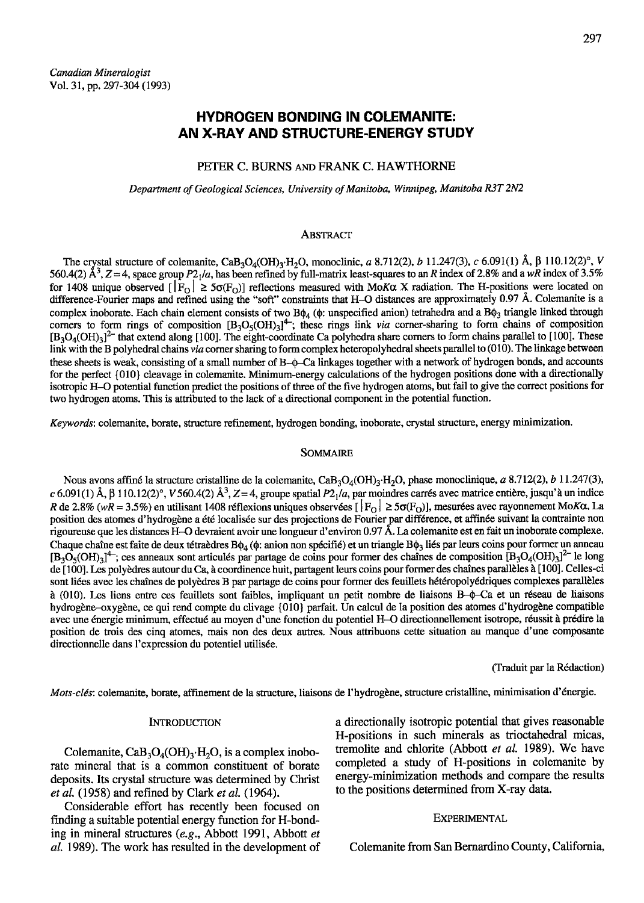# HYDROGEN BONDING IN GOLEMANITE: AN X.RAY AND STRUCTURE.ENERGY STUDV

## PETER C. BURNS AND FRANK C. HAWTHORNE

Department of Geological Sciences, University of Manitoba, Winnipeg, Manitoba R3T 2N2

## **ABSTRACT**

The crystal structure of colemanite, CaB<sub>3</sub>O<sub>4</sub>(OH)<sub>3</sub>.H<sub>2</sub>O, monoclinic, a 8.712(2), b 11.247(3), c 6.091(1) Å,  $\beta$  110.12(2)°, V 560.4(2)  $\AA^3$ , Z = 4, space group P2<sub>1</sub>/a, has been refined by full-matrix least-squares to an R index of 2.8% and a wR index of 3.5% for 1408 unique observed  $\lfloor |\vec{F}_{O}| \ge 5\sigma(F_{O})\rfloor$  reflections measured with MoK $\alpha$  X radiation. The H-positions were located on difference-Fourier maps and refined using the "soft" constraints that H-O distances are approximately 0.97 A. Colemanite is a complex inoborate. Each chain element consists of two B $\phi_4$  ( $\phi$ : unspecified anion) tetrahedra and a B $\phi_3$  triangle linked through corners to form rings of composition  $[B_3O_5(OH)_3]^4$ ; these rings link via corner-sharing to form chains of composition  $[B_3O_4(OH)_3]^2$ <sup>-</sup> that extend along [100]. The eight-coordinate Ca polyhedra share corners to form chains parallel to [100]. These link with the B polyhedral chains via corner sharing to form complex heteropolyhedral sheets parallel to (010). The linkage between these sheets is weak, consisting of a small number of B- $\phi$ -Ca linkages together with a network of hydrogen bonds, and accounts for the perfect {010} cleavage in colemanite. Minimum-energy calculations of the hydrogen positions done with a directionally isotropic H-O potential function predict the positions of three of the five hydrogen atoms, but fail to give the correct positions for two hydrogen atoms. This is attributed to the lack of a directional component in the potential function.

Keywords: colemanite, borate, structure refinement, hydrogen bonding, inoborate, crystal structure, energy minimization.

#### **SOMMAIRE**

Nous avons affiné la structure cristalline de la colemanite, CaB<sub>3</sub>O<sub>4</sub>(OH)<sub>3</sub>·H<sub>2</sub>O, phase monoclinique, a 8.712(2), b 11.247(3), c 6.091(1) Å,  $\beta$  110.12(2)°, V 560.4(2) Å<sup>3</sup>, Z = 4, groupe spatial P2<sub>1</sub>/a, par moindres carrés avec matrice entière, jusqu'à un indice R de 2.8% (wR = 3.5%) en utilisant 1408 réflexions uniques observées [ $|F_{\Omega}| \ge 5\sigma(F_{\Omega})$ ], mesurées avec rayonnement MoK $\alpha$ . La position des atomes d'hydrogène a été localisée sur des projections de Fourier par différence, et affinée suivant la contrainte non rigoureuse que les distances H-O devraient avoir une longueur d'environ 0.97 A. La colemanite est en fait un inoborate complexe. Chaque chaîne est faite de deux tétraèdres B $\phi_4$  ( $\phi$ : anion non spécifié) et un triangle B $\phi_3$  liés par leurs coins pour former un anneau  $[B_3O_5(OH)_3]^4$ ; ces anneaux sont articulés par partage de coins pour former des chaînes de composition  $[B_3O_4(OH)_3]^2$  le long de [100]. Les polyèdres autour du Ca, à coordinence huit, partagent leurs coins pour former des chaînes parallèles à [100]. Celles-ci sont liées avec les chaînes de polyèdres B par partage de coins pour former des feuillets hétéropolyédriques complexes parallèles à (010). Les liens entre ces feuillets sont faibles, impliquant un petit nombre de liaisons B- $\phi$ -Ca et un réseau de liaisons hydrogène-oxygène, ce qui rend compte du clivage {010} parfait. Un calcul de la position des atomes d'hydrogène compatible avec une énergie minimum, effectué au moyen d'une fonction du potentiel H-O directionnellement isotrope, réussit à prédire la position de trois des cinq atomes, mais non des deux autres. Nous attribuons cette situation au manque d'une composante directionnelle dans l'expression du potentiel utilisée.

(Iraduit par la R6daction)

Mots-clés: colemanite, borate, affinement de la structure, liaisons de l'hydrogène, structure cristalline, minimisation d'énergie.

#### INTRODUCTION

Colemanite,  $CaB_3O_4(OH)_3$ . H<sub>2</sub>O, is a complex inoborate mineral that is a common constituent of borate deposits. Its crystal structure was determined by Christ et al.  $(1958)$  and refined by Clark et al.  $(1964)$ .

Considerable effort has recently been focused on finding a suitable potential energy function for H-bonding in mineral structures (e.9., Abbott 1991, Abbott er al. 1989). The work has resulted in the development of a directionally isotropic potential that gives reasonable H-positions in such minerals as trioctahedral micas, tremolite and chlorite (Abbott et al. 1989). We have completed a study of H-positions in colemanite by energy-minimization methods and compare the results to the positions determined from X-ray data.

#### **EXPERIMENTAL**

Colemanite from San Bernardino County, California,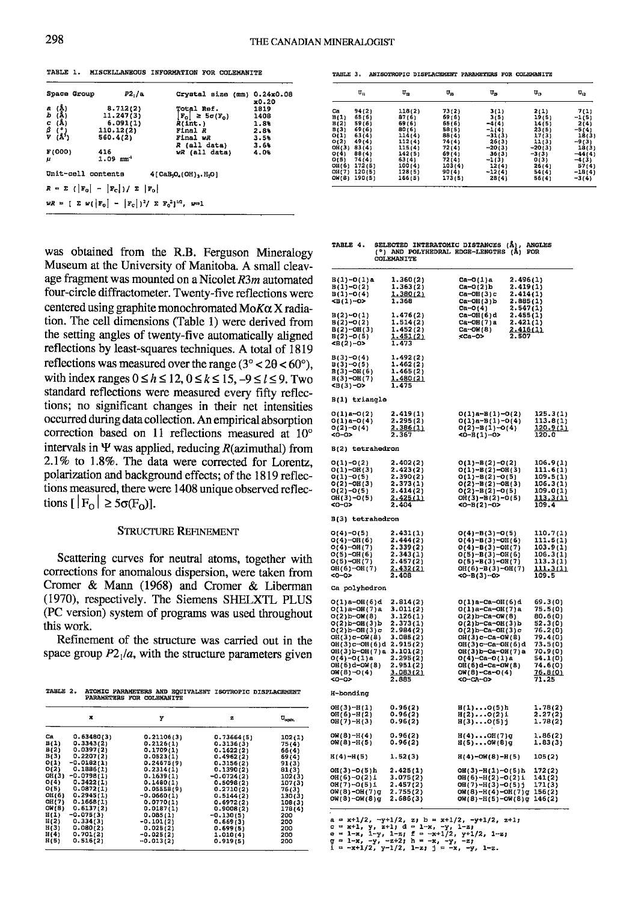TABLE 1. MISCELLANEOUS INFORMATION FOR COLEMANITE

| Space Group                                                                                | P2, A                                                                                                       | Crystal size (mm) 0.24x0.08                              | x0.20  |
|--------------------------------------------------------------------------------------------|-------------------------------------------------------------------------------------------------------------|----------------------------------------------------------|--------|
|                                                                                            | 8.712(2)                                                                                                    | Total Ref.                                               | 1819   |
| a (Å)<br><i>b</i> (Å)                                                                      | 11,247(3)                                                                                                   | $\left  \mathbf{F_0} \right  \geq 5\sigma(\mathbf{F_0})$ | 1408   |
|                                                                                            | 6.091(1)                                                                                                    | R(int.)                                                  | 1.8%   |
|                                                                                            | 110.12(2)                                                                                                   | Final R                                                  | 2.8%   |
| $\begin{matrix} G & (\mathbb{A}) \\ \beta & \mathbb{A} \\ V & (\mathbb{A}^3) \end{matrix}$ | 560.4(2)                                                                                                    | Final wR                                                 | 3.5%   |
|                                                                                            |                                                                                                             | R (all data)                                             | 3.6%   |
| F(000)                                                                                     | 416                                                                                                         | wR (all data)                                            | $4.0*$ |
| $\boldsymbol{\mu}$                                                                         | $1.09$ mm <sup>-1</sup>                                                                                     |                                                          |        |
| Unit-cell contents                                                                         |                                                                                                             | $4[CAB2(OH), H2O]$                                       |        |
|                                                                                            | $R = \sum$ ( $\left  \mathbf{F}_0 \right  = \left  \mathbf{F}_C \right  / \sum \left  \mathbf{F}_0 \right $ |                                                          |        |
|                                                                                            | $WR = [ \Sigma w (  F_0  -  F_C  )^2 / \Sigma F_0^2 ]^{1/2}, w=1$                                           |                                                          |        |

was obtained from the R.B. Ferguson Mineralogy Museum at the University of Manitoba. A small cleavage fragment was mounted on a Nicolet  $R3m$  automated four-circle diffractometer. Twenty-five reflections were centered using graphite monochromated  $M \circ K \alpha$  X radiation. The cell dimensions (Table 1) were derived from the setting angles of twenty-five automatically aligned reflections by least-squares techniques. Atotal of 1819 reflections was measured over the range ( $3^{\circ}$  <  $2\theta$  <  $60^{\circ}$ ), with index ranges  $0 \le h \le 12$ ,  $0 \le k \le 15$ ,  $-9 \le l \le 9$ . Two standard reflections were measured every fifty reflections; no significant changes in their net intensities occuned during datacollection. An empirical absorption correction based on 11 reflections measured at  $10^{\circ}$ intervals in  $\Psi$  was applied, reducing  $R$ (azimuthal) from  $2.1\%$  to 1.8%. The data were corrected for Lorentz. polarization and background effects; of the 1819 reflections measured, there were 1408 unique observed reflections  $[|F_0| \geq 5\sigma(F_0)].$ 

### STRUCTURE REFINEMENT

Scattering curves for neutral atoms, together with corrections for anomalous dispersion, were laken from Cromer & Mann (1968) and Cromer & Liberman (1970), respectively. The Siemens SHELXTL PLUS (PC version) system of programs was used throughout this work.

Refinement of the structure was carried out in the space group  $P2<sub>1</sub>/a$ , with the structure parameters given

TABLE 2. ATOMIC PARAMETERS AND EQUIVALENT ISOTROPIC DISPLAGE PARAMETERS FOR COLEMANITE

|       | ×            | У            | z            | $U_{\text{coche}}$ |
|-------|--------------|--------------|--------------|--------------------|
| Ca.   | 0.63480(3)   | 0.21106(3)   | 0.73664(5)   | 102(1)             |
| B(1)  | 0.3343(2)    | 0.2126(1)    | 0.3136(3)    | 75(4)              |
| B(2)  | 0.0397(2)    | 0.1709(1)    | 0.1622(2)    | 66(4)              |
| B(3)  | 0.2207(2)    | 0.0523(1)    | 0.4962(2)    | 69(4)              |
| O(1)  | $-0.0182(1)$ | 0.24675(9)   | 0.3156(2)    | 91(3)              |
| O(2)  | 0.1886(1)    | 0.2314(1)    | 0.1390(2)    | 81(3)              |
| OH(3) | $-0.0798(1)$ | 0.1639(1)    | $-0.0724(2)$ | 102(3)             |
| O(4)  | 0.3422(1)    | 0.1480(1)    | 0.5098(2)    | 107(3)             |
| O(5)  | 0.0872(1)    | 0.05558(9)   | 0.2710(2)    | 76(3)              |
| OH(6) | 0.2945(1)    | $-0.0660(1)$ | 0.5144(2)    | 130(3)             |
| OH(7) | 0.1668(1)    | 0.0770(1)    | 0.6972(2)    | 108(3)             |
| OW(8) | 0.6137(2)    | 0.0187(1)    | 0.9008(2)    | 178(4)             |
| H(1)  | $-0.075(3)$  | 0.085(1)     | $-0.130(5)$  | 200                |
| H(2)  | 0.334(3)     | $-0.101(2)$  | 0.669(3)     | 200                |
| H(3)  | 0.080(2)     | 0.025(2)     | 0.699(5)     | 200                |
| H(4)  | 0.701(2)     | $-0.025(2)$  | 1.010(4)     | 200                |
| H(5)  | 0.516(2)     | $-0.013(2)$  | 0.919(5)     | 200                |

TABLE 3. ANTSOTROPIC DISPLACEMENT PARAMETERS FOR COLEMANITE

|       | $\mathbf{u}_{n}$ | U.,    | $\mathtt{U}_\mathtt{m}$ | $\mathbf{u}_{\mathbf{z}}$ | $\mathtt{u}_{\mathtt{B}}$ | $U_{12}$ |
|-------|------------------|--------|-------------------------|---------------------------|---------------------------|----------|
| Сa    | 94(2)            | 118(2) | 73(2)                   | 3(1)                      | 2(1)                      | 7(1)     |
| B(1)  | 65(6)            | 87(6)  | 69(6)                   | 3(5)                      | 19 (5)                    | $-1(5)$  |
| B(2)  | 59(6)            | 69(6)  | 65(6)                   | $-4(4)$                   | 14 (5)                    | 2(4)     |
| B(3)  | 69(6)            | 80(6)  | 58(5)                   | $-1(4)$                   | 23(5)                     | $-5(4)$  |
| O(1)  | 63 (4)           | 114(4) | 88(4)                   | $-31(3)$                  | 17 (3)                    | 18(3)    |
| O(2)  | 49(4)            | 112(4) | 74(4)                   | 26(3)                     | 11(3)                     | $-9(3)$  |
| OH(3) | 83(4)            | 115(4) | 72(4)                   | $-20(3)$                  | $-20(3)$                  | 18(3)    |
| O(4)  | 88(4)            | 142(5) | 69(4)                   | 36(3)                     | $-3(3)$                   | $-44(4)$ |
| O(5)  | 74(4)            | 63(4)  | 72 (4)                  | $-1(3)$                   | 0(3)                      | $-4(3)$  |
| OH(6) | 172151           | 100(4) | 103(4)                  | 12(4)                     | 26(4)                     | 57(4)    |
| OH(7) | 120(5)           | 128(5) | 90(4)                   | $-12(4)$                  | 54(4)                     | $-18(4)$ |
| ON(8) | 190(5)           | 166(5) | 173(5)                  | 28(4)                     | 56(4)                     | $-3(4)$  |

TABLE 4. SELECTED INTERATOMIC DISTANCES (Å), ANGLECTED RAD POLYHEDRAL EDGE-LENGTHS (Å) FOR COLEMANITE

| B(1)-O(1)a<br>1.360(2)<br>$Ca-O(1)a$<br>2.496(1)<br>$B(1)-O(2)$<br>1.363(2)<br>$Ca-O(2)$ b<br>2.419(1)<br>$B(1)-O(4)$<br>1.380(2)<br>2.414(1)<br>$Ca-OH(3)c$<br>1.368<br>$Ca-OH(3)$ b<br>2.885(1)<br><b(1)-0><br/><math>Ca-O(4)</math><br/>2.547(1)<br/>2.455(1)<br/>B(2)-O(1)<br/>1.476(2)<br/>Ca-OH(6)d<br/>1.514(2)<br/>2.421(1)<br/>B(2)-0(2)<br/>Ca∽OH(7)a<br/>Ca∽OW(8)<br/>1.452(2)<br/>2.416(1)<br/>B(2)-OH(3)<br/>B (2) - O (5)<br/>1.451(2)<br/>2.507<br/><math>ca-O</math><br/><b(2)-0><br/>1.473<br/>B(3)-O(4)<br/>1.492(2)<br/>B(3)-O(5)<br/>1.462(2)<br/>B(3)-OH(6)<br/>1.465(2)<br/>в(3)-он(7)<br/><u>1.480(2)</u><br/><b(3)-o><br/>1.475<br/>B(1) triangle<br/><math>0(1)a - 0(2)</math><br/>2.419(1)<br/><math>O(1)a-B(1)-O(2)</math><br/>125.3(1)<br/>2.295(2)<br/><math>O(1)a-B(1)-O(4)</math><br/>113.8(1)<br/>O(1)a-O(4)<br/><u> 120.9111</u><br/>2.386(1)<br/><math>O(2)-B(1)-O(4)</math><br/><math>O(2)-O(4)</math><br/>&lt;0-0&gt;<br/><math>50 - B(1) - 0</math><br/>120.0<br/>2.367<br/>B(2) tetrahedron<br/>2.402(2)<br/>0(1)-0(2)<br/><math>O(1)-B(2)-O(2)</math><br/>106.9(1)<br/><math>O(1)-B(2)-OH(3)</math><br/><math>O(1) - OH(3)</math><br/>2.423(2)<br/>111.6(1)<br/>0(1)-0(5)<br/><math>O(1)-B(2)-O(5)</math><br/>2.390(2)<br/>109.5(1)<br/>O (2) −OH (3)<br/>2.373(1)<br/><math>O(2)-B(2)-OH(3)</math><br/>106.3(1)<br/><math>O(2)-O(5)</math><br/><math>O(2)-B(2)-O(5)</math><br/>2.414(2)<br/>109.0(1)<br/>2.425(1)<br/>OH (3) ~O (5)<br/><math>OH(3)-B(2)-O(5)</math><br/><u> 113.3111</u><br/>2.404<br/><math>&lt;</math>0-B(2)-0&gt;<br/>109.4<br/><o−o><br/>B(3) tetrahedron<br/>0(4)-0(5)<br/>2.431(1)<br/>110.7(1)<br/><math>O(4)-B(3)-O(5)</math><br/>O (4) –OH (6)<br/>2.444(2)<br/><math>O(4)-B(3)-OH(6)</math><br/>111.5(1)<br/>O(4)-OH(7)<br/>2.339(2)<br/><math>O(4)-B(3)-OH(7)</math><br/>103.9(1)<br/>2.343(1)<br/>O(5)-OH(6)<br/><math>O(5)-B(3)-OH(6)</math><br/>106.3(1)<br/>2.457(2)<br/>O(5)-OH(7)<br/>113.3(1)<br/><math>O(5)-B(3)-OH(7)</math><br/>OH(6)-B(3)-OH(7)<br/>ОН (6) – ОН (7)<br/>2.432(2)<br/><u> 111.311)</u><br/>2.408<br/><math>50 - B(3) - 0</math><br/>&lt;0-0&gt;<br/>109.5<br/>Ca polyhedron<br/>2.814(2)<br/>69.3(0)<br/><b>O(1)a-OH(6)d</b><br/><math>O(1)a - Ca - OH(6)d</math><br/>О(1)а-ОН(7)а<br/>3.011(2)<br/><math>O(1)a-Ca-OH(7)a</math><br/>75.5(0)<br/>O(2)b-OW(8)<br/>3.126(1)<br/><math>O(2)</math>b-Ca-OW(8)<br/>80.6(0)<br/>2.373(1)<br/>0(2) b-0H(3) b<br/>0(2) b-0H(3) c<br/>52.3(0)<br/>76.2(0)<br/><math>O(2)b</math>-Ca-OH<math>(3)b</math><br/><math>O(2)b</math>-Ca-OH<math>(3)c</math><br/>2.984(2)<br/>OH(3)c-OW(8)<br/>3.085(2)<br/>79.4(0)<br/><math>OH(3)c-Ca-OW(8)</math><br/>OH(3)c-OH(6)d 2.915(2)<br/><math>OH(3)c-Ca-OH(6)d</math><br/>73.5(0)<br/>ОН (З) b-ОН (7) в<br/>70.9(0)<br/>3.101(2)<br/>OH(3)b-Ca-OH(7)a<br/>2.295(2)<br/>54.1(0)<br/>0(4)-0(1)a<br/><math>O(4)-Ca-O(1)a</math><br/>2.951(2)<br/>74.6(0)<br/>OH(6)d-OW(8)<br/>OH(6)d-Ca-OW(8)<br/>OW(8)-O(4)<br/>3.083(2)<br/>76.8(0)<br/><math>OW(8)-Ca-O(4)</math><br/>71.25<br/>&lt;0-CA-0&gt;<br/>≺0-0&gt;<br/>2.885<br/>H-bonding<br/>1.78(2)<br/>OH(3)-H(1)<br/>OH(6)-H(2)<br/>0.96(2)<br/><math>H(1), \ldots</math>O(5)h<br/>2.27(2)<br/>0.96(2)<br/><math>H(2)</math>O(2)i<br/><math>OH(7)-H(3)</math><br/>0.96(2)<br/><math>H(3) \ldots O(5)</math>j<br/>1.78(2)<br/><math>OW(8)-H(4)</math><br/>0.96(2)<br/><math>H(4)</math>OH<math>(7)</math>g<br/>1.86(2)<br/><math>OW(8)-H(5)</math><br/>0.96(2)<br/><math>H(5) \ldots GW(8)</math>g<br/>1.83(3)<br/>1.52(3)<br/><math>H(4)-H(5)</math><br/><math>H(4)-OH(8)-H(5)</math><br/>105 (2)<br/>OH(3)-0(5)h<br/>2.425(1)<br/>OH(3)-H(1)-O(5)h<br/>172(2)<br/>OH(6)-O(2)i<br/>3.075(2)<br/>OH(6)-H(2)-O(2)i<br/>141(2)<br/>OH(7)-H(3)-O(5)]<br/>OM(8)-H(4)-OH(7)g<br/>OH(7)-O(5)1<br/>2.457(2)<br/>171(3)<br/>OW (8) – OH (7) g<br/>2.755(2)<br/>156(2)<br/>2.686(3)<br/>OW(8)-H(5)-OW(8)q<br/>OW(8)-OW(8)g<br/>146(2)</o−o></b(3)-o></b(2)-0></b(1)-0> |  |  |  |
|--------------------------------------------------------------------------------------------------------------------------------------------------------------------------------------------------------------------------------------------------------------------------------------------------------------------------------------------------------------------------------------------------------------------------------------------------------------------------------------------------------------------------------------------------------------------------------------------------------------------------------------------------------------------------------------------------------------------------------------------------------------------------------------------------------------------------------------------------------------------------------------------------------------------------------------------------------------------------------------------------------------------------------------------------------------------------------------------------------------------------------------------------------------------------------------------------------------------------------------------------------------------------------------------------------------------------------------------------------------------------------------------------------------------------------------------------------------------------------------------------------------------------------------------------------------------------------------------------------------------------------------------------------------------------------------------------------------------------------------------------------------------------------------------------------------------------------------------------------------------------------------------------------------------------------------------------------------------------------------------------------------------------------------------------------------------------------------------------------------------------------------------------------------------------------------------------------------------------------------------------------------------------------------------------------------------------------------------------------------------------------------------------------------------------------------------------------------------------------------------------------------------------------------------------------------------------------------------------------------------------------------------------------------------------------------------------------------------------------------------------------------------------------------------------------------------------------------------------------------------------------------------------------------------------------------------------------------------------------------------------------------------------------------------------------------------------------------------------------------------------------------------------------------------------------------------------------------------------------------------------------------------------------------------------------------------------------------------------------------------------------------------------------------------------------------------------------------------------------------------------------------------------------------------------------------------------------------------------------------------------------------------------------------------------------------------------------------------------------------------------------------------------------------------------------------------------------------------------------------------------------------------------------------------------------------------------------------------------------------|--|--|--|
|                                                                                                                                                                                                                                                                                                                                                                                                                                                                                                                                                                                                                                                                                                                                                                                                                                                                                                                                                                                                                                                                                                                                                                                                                                                                                                                                                                                                                                                                                                                                                                                                                                                                                                                                                                                                                                                                                                                                                                                                                                                                                                                                                                                                                                                                                                                                                                                                                                                                                                                                                                                                                                                                                                                                                                                                                                                                                                                                                                                                                                                                                                                                                                                                                                                                                                                                                                                                                                                                                                                                                                                                                                                                                                                                                                                                                                                                                                                                                                                      |  |  |  |
|                                                                                                                                                                                                                                                                                                                                                                                                                                                                                                                                                                                                                                                                                                                                                                                                                                                                                                                                                                                                                                                                                                                                                                                                                                                                                                                                                                                                                                                                                                                                                                                                                                                                                                                                                                                                                                                                                                                                                                                                                                                                                                                                                                                                                                                                                                                                                                                                                                                                                                                                                                                                                                                                                                                                                                                                                                                                                                                                                                                                                                                                                                                                                                                                                                                                                                                                                                                                                                                                                                                                                                                                                                                                                                                                                                                                                                                                                                                                                                                      |  |  |  |
|                                                                                                                                                                                                                                                                                                                                                                                                                                                                                                                                                                                                                                                                                                                                                                                                                                                                                                                                                                                                                                                                                                                                                                                                                                                                                                                                                                                                                                                                                                                                                                                                                                                                                                                                                                                                                                                                                                                                                                                                                                                                                                                                                                                                                                                                                                                                                                                                                                                                                                                                                                                                                                                                                                                                                                                                                                                                                                                                                                                                                                                                                                                                                                                                                                                                                                                                                                                                                                                                                                                                                                                                                                                                                                                                                                                                                                                                                                                                                                                      |  |  |  |
|                                                                                                                                                                                                                                                                                                                                                                                                                                                                                                                                                                                                                                                                                                                                                                                                                                                                                                                                                                                                                                                                                                                                                                                                                                                                                                                                                                                                                                                                                                                                                                                                                                                                                                                                                                                                                                                                                                                                                                                                                                                                                                                                                                                                                                                                                                                                                                                                                                                                                                                                                                                                                                                                                                                                                                                                                                                                                                                                                                                                                                                                                                                                                                                                                                                                                                                                                                                                                                                                                                                                                                                                                                                                                                                                                                                                                                                                                                                                                                                      |  |  |  |
|                                                                                                                                                                                                                                                                                                                                                                                                                                                                                                                                                                                                                                                                                                                                                                                                                                                                                                                                                                                                                                                                                                                                                                                                                                                                                                                                                                                                                                                                                                                                                                                                                                                                                                                                                                                                                                                                                                                                                                                                                                                                                                                                                                                                                                                                                                                                                                                                                                                                                                                                                                                                                                                                                                                                                                                                                                                                                                                                                                                                                                                                                                                                                                                                                                                                                                                                                                                                                                                                                                                                                                                                                                                                                                                                                                                                                                                                                                                                                                                      |  |  |  |
|                                                                                                                                                                                                                                                                                                                                                                                                                                                                                                                                                                                                                                                                                                                                                                                                                                                                                                                                                                                                                                                                                                                                                                                                                                                                                                                                                                                                                                                                                                                                                                                                                                                                                                                                                                                                                                                                                                                                                                                                                                                                                                                                                                                                                                                                                                                                                                                                                                                                                                                                                                                                                                                                                                                                                                                                                                                                                                                                                                                                                                                                                                                                                                                                                                                                                                                                                                                                                                                                                                                                                                                                                                                                                                                                                                                                                                                                                                                                                                                      |  |  |  |
|                                                                                                                                                                                                                                                                                                                                                                                                                                                                                                                                                                                                                                                                                                                                                                                                                                                                                                                                                                                                                                                                                                                                                                                                                                                                                                                                                                                                                                                                                                                                                                                                                                                                                                                                                                                                                                                                                                                                                                                                                                                                                                                                                                                                                                                                                                                                                                                                                                                                                                                                                                                                                                                                                                                                                                                                                                                                                                                                                                                                                                                                                                                                                                                                                                                                                                                                                                                                                                                                                                                                                                                                                                                                                                                                                                                                                                                                                                                                                                                      |  |  |  |
|                                                                                                                                                                                                                                                                                                                                                                                                                                                                                                                                                                                                                                                                                                                                                                                                                                                                                                                                                                                                                                                                                                                                                                                                                                                                                                                                                                                                                                                                                                                                                                                                                                                                                                                                                                                                                                                                                                                                                                                                                                                                                                                                                                                                                                                                                                                                                                                                                                                                                                                                                                                                                                                                                                                                                                                                                                                                                                                                                                                                                                                                                                                                                                                                                                                                                                                                                                                                                                                                                                                                                                                                                                                                                                                                                                                                                                                                                                                                                                                      |  |  |  |
|                                                                                                                                                                                                                                                                                                                                                                                                                                                                                                                                                                                                                                                                                                                                                                                                                                                                                                                                                                                                                                                                                                                                                                                                                                                                                                                                                                                                                                                                                                                                                                                                                                                                                                                                                                                                                                                                                                                                                                                                                                                                                                                                                                                                                                                                                                                                                                                                                                                                                                                                                                                                                                                                                                                                                                                                                                                                                                                                                                                                                                                                                                                                                                                                                                                                                                                                                                                                                                                                                                                                                                                                                                                                                                                                                                                                                                                                                                                                                                                      |  |  |  |
|                                                                                                                                                                                                                                                                                                                                                                                                                                                                                                                                                                                                                                                                                                                                                                                                                                                                                                                                                                                                                                                                                                                                                                                                                                                                                                                                                                                                                                                                                                                                                                                                                                                                                                                                                                                                                                                                                                                                                                                                                                                                                                                                                                                                                                                                                                                                                                                                                                                                                                                                                                                                                                                                                                                                                                                                                                                                                                                                                                                                                                                                                                                                                                                                                                                                                                                                                                                                                                                                                                                                                                                                                                                                                                                                                                                                                                                                                                                                                                                      |  |  |  |
|                                                                                                                                                                                                                                                                                                                                                                                                                                                                                                                                                                                                                                                                                                                                                                                                                                                                                                                                                                                                                                                                                                                                                                                                                                                                                                                                                                                                                                                                                                                                                                                                                                                                                                                                                                                                                                                                                                                                                                                                                                                                                                                                                                                                                                                                                                                                                                                                                                                                                                                                                                                                                                                                                                                                                                                                                                                                                                                                                                                                                                                                                                                                                                                                                                                                                                                                                                                                                                                                                                                                                                                                                                                                                                                                                                                                                                                                                                                                                                                      |  |  |  |
|                                                                                                                                                                                                                                                                                                                                                                                                                                                                                                                                                                                                                                                                                                                                                                                                                                                                                                                                                                                                                                                                                                                                                                                                                                                                                                                                                                                                                                                                                                                                                                                                                                                                                                                                                                                                                                                                                                                                                                                                                                                                                                                                                                                                                                                                                                                                                                                                                                                                                                                                                                                                                                                                                                                                                                                                                                                                                                                                                                                                                                                                                                                                                                                                                                                                                                                                                                                                                                                                                                                                                                                                                                                                                                                                                                                                                                                                                                                                                                                      |  |  |  |
|                                                                                                                                                                                                                                                                                                                                                                                                                                                                                                                                                                                                                                                                                                                                                                                                                                                                                                                                                                                                                                                                                                                                                                                                                                                                                                                                                                                                                                                                                                                                                                                                                                                                                                                                                                                                                                                                                                                                                                                                                                                                                                                                                                                                                                                                                                                                                                                                                                                                                                                                                                                                                                                                                                                                                                                                                                                                                                                                                                                                                                                                                                                                                                                                                                                                                                                                                                                                                                                                                                                                                                                                                                                                                                                                                                                                                                                                                                                                                                                      |  |  |  |
|                                                                                                                                                                                                                                                                                                                                                                                                                                                                                                                                                                                                                                                                                                                                                                                                                                                                                                                                                                                                                                                                                                                                                                                                                                                                                                                                                                                                                                                                                                                                                                                                                                                                                                                                                                                                                                                                                                                                                                                                                                                                                                                                                                                                                                                                                                                                                                                                                                                                                                                                                                                                                                                                                                                                                                                                                                                                                                                                                                                                                                                                                                                                                                                                                                                                                                                                                                                                                                                                                                                                                                                                                                                                                                                                                                                                                                                                                                                                                                                      |  |  |  |
|                                                                                                                                                                                                                                                                                                                                                                                                                                                                                                                                                                                                                                                                                                                                                                                                                                                                                                                                                                                                                                                                                                                                                                                                                                                                                                                                                                                                                                                                                                                                                                                                                                                                                                                                                                                                                                                                                                                                                                                                                                                                                                                                                                                                                                                                                                                                                                                                                                                                                                                                                                                                                                                                                                                                                                                                                                                                                                                                                                                                                                                                                                                                                                                                                                                                                                                                                                                                                                                                                                                                                                                                                                                                                                                                                                                                                                                                                                                                                                                      |  |  |  |
|                                                                                                                                                                                                                                                                                                                                                                                                                                                                                                                                                                                                                                                                                                                                                                                                                                                                                                                                                                                                                                                                                                                                                                                                                                                                                                                                                                                                                                                                                                                                                                                                                                                                                                                                                                                                                                                                                                                                                                                                                                                                                                                                                                                                                                                                                                                                                                                                                                                                                                                                                                                                                                                                                                                                                                                                                                                                                                                                                                                                                                                                                                                                                                                                                                                                                                                                                                                                                                                                                                                                                                                                                                                                                                                                                                                                                                                                                                                                                                                      |  |  |  |

a = x+1/2, -y+1/2, z; b = x+1/2, -y+1/2, z+1<br>c = x+1, y, x+1/d = 1-x, -y, 1-z;<br>e = 1-x, 1-y, 1-z; f = -x+1/2, y+1/2, 1-z;<br>g = 1-x, -y, -z+2; h = -x, -y, -x, -y<br>i = -x+1/2, y-1/2, 1-z; j = -x, -y, 1-z.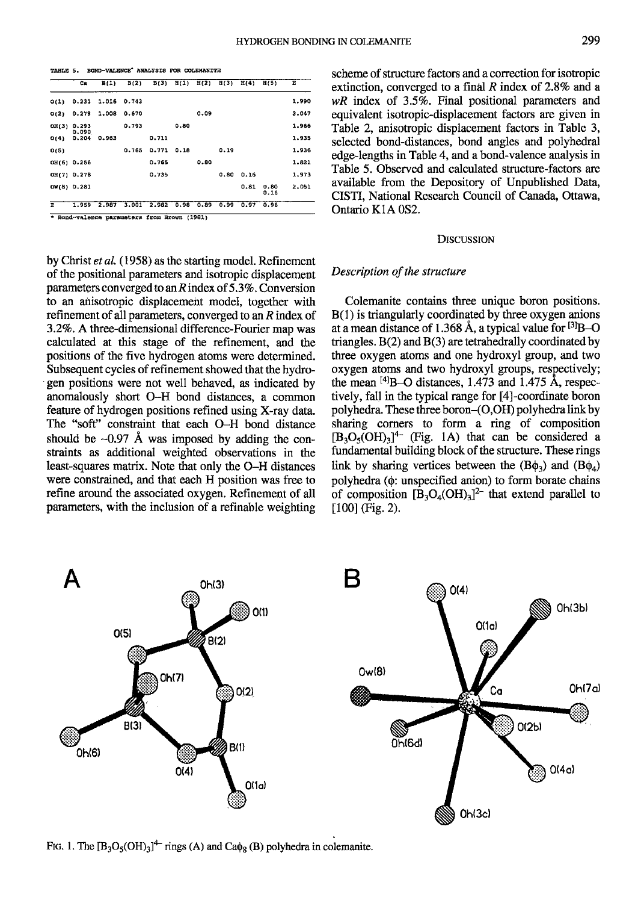|       | Ca             | B(1)  | B(2)  | B(3)  | H(1) | $\mathbb{H}(2)$ | H(3) | H(4) | H(5)         | Σ     |
|-------|----------------|-------|-------|-------|------|-----------------|------|------|--------------|-------|
| O(1)  | 0.231          | 1.016 | 0.743 |       |      |                 |      |      |              | 1.990 |
| O(2)  | 0.279          | 1.008 | 0.670 |       |      | 0.09            |      |      |              | 2.047 |
| OH(3) | 0.293          |       | 0.793 |       | 0.80 |                 |      |      |              | 1.966 |
| O(4)  | 0.090<br>0.204 | 0.963 |       | 0.711 |      |                 |      |      |              | 1.935 |
| O(5)  |                |       | 0.765 | 0.771 | 0.18 |                 | 0.19 |      |              | 1.936 |
|       | OH(6) 0.256    |       |       | 0.765 |      | 0.80            |      |      |              | 1.821 |
|       | OH(7) 0.278    |       |       | 0.735 |      |                 | 0.80 | 0.16 |              | 1.973 |
|       | OW(8) 0.281    |       |       |       |      |                 |      | 0.81 | 0.80<br>0.16 | 2.051 |
| Σ     | 1.959          | 2.987 | 3.001 | 2.982 | 0.98 | 0.89            | 0.99 | 0.97 | 0.96         |       |

Bond-valence parameters from Brown (1981)

by Christ  $et al.$  (1958) as the starting model. Refinement of the positional parameters and isotropic displacement parameters converged to an R index of  $5.3\%$ . Conversion to an anisotropic displacement model, together with refinement of all parameten, converged to an R index of 3.2%. A three-dimensional difference-Fourier map was calculated at this stage of the refinement, and the positions of the five hydrogen atoms were determined. Subsequent cycles of refinement showed that the hydrogen positions were not well behaved, as indicated by anomalously short O-H bond distances, a common feature of hydrogen positions refined using X-ray data. The "soft" constraint that each O-H bond distance should be  $\sim 0.97$  Å was imposed by adding the constraints as additional weighted observations in the least-squares matrix. Note that only the O-H distances were constrained, and that each H position was free to refine around the associated oxygen. Refinement of all parameters, with the inclusion of a refinable weighting

TABLE 5. BOND-VALENCE' ANALYSIS FOR COLEMANITE SALE AND SCHEME OF STRUCTURE factors and a correction for isotropic extinction, converged to a final  $R$  index of 2.8% and a  $wR$  index of 3.5%. Final positional parameters and equivalent isotropic-displacement factors are given in Table 2, anisotropic displacement factors in Table 3, selected bond-distances, bond angles and polyhedral edge-lengths in Table 4, and a bond-valence analysis in Table 5. Observed and calculated structure-factors are available from the Depository of Unpublished Data CISTI, National Research Council of Canada, Ottawa, Ontario K1A 0S2.

## **DISCUSSION**

## Description of the structure

Colemanite contains three unique boron positions. B(1) is triangularly coordinated by three oxygen anions at a mean distance of 1.368 Å, a typical value for  $^{[3]}B-O$ triangles. B(2) and B(3) are tetrahedrally coordinated by three oxygen atoms and one hydroxyl group, and two oxygen atoms and two hydroxyl groups, respectively; the mean  $^{[4]}$ B-O distances, 1.473 and 1.475 Å, respectively, fall in the typical range for [4]-coordinate boron polyhedra. These three boron-(O,OH) polyhedra link by sharing corners to form a ring of composition  $[B_3O_5(OH)_3]^4$ <sup>-</sup> (Fig. 1A) that can be considered a fundamental building block of the structure. These rings link by sharing vertices between the  $(B\phi_3)$  and  $(B\phi_4)$ polyhedra (Q: unspecified anion) to form borate chains of composition  $[\hat{B}_3O_4(OH)_3]^{2-}$  that extend parallel to [100] (Fig. 2).





FIG. 1. The  $[B_3O_5(OH)_3]^+$  rings (A) and Ca $\phi_8$  (B) polyhedra in colemanite.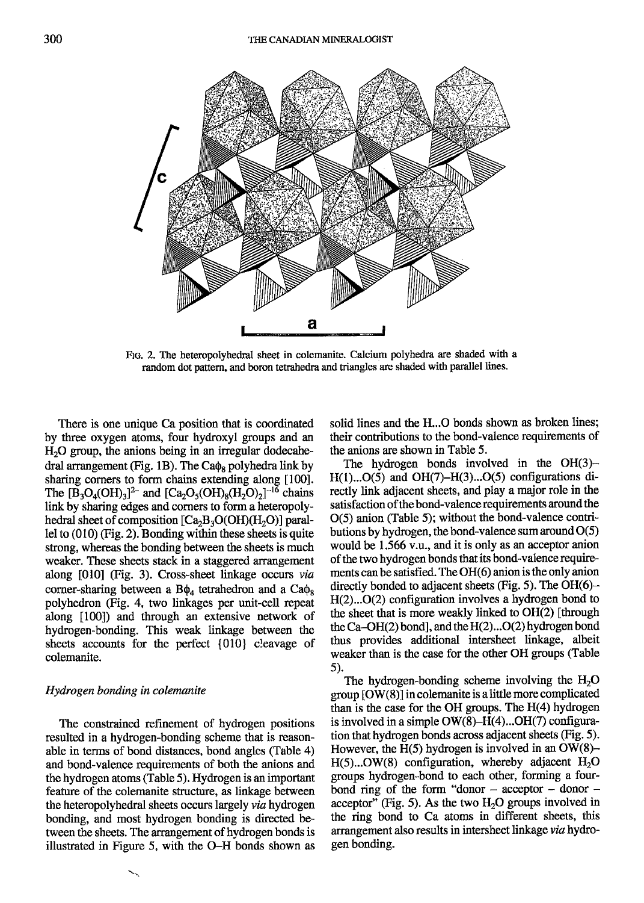

FIG. 2. The heteropolyhedral sheet in colemanite. Calcium polyhedra are shaded with a random dot pattern, and boron tetrahedra and triangles are shaded with parallel lines.

There is one unique Ca position that is coordinated by three oxygen atoms, four hydroxyl groups and an  $H<sub>2</sub>O$  group, the anions being in an irregular dodecahedral arrangement (Fig. 1B). The Ca $\phi_8$  polyhedra link by sharing corners to form chains extending along [100]. The  $[B_3O_4(OH)_3]^2$  and  $[Ca_2O_5(OH)_8(H_2O)_2]^{-16}$  chains link by sharing edges and corners to form a heteropolyhedral sheet of composition  $[Ca<sub>2</sub>B<sub>3</sub>O(OH)(H<sub>2</sub>O)]$  parallel to  $(010)$  (Fig. 2). Bonding within these sheets is quite strong, whereas the bonding between the sheets is much weaker. These sheets stack in a staggered arrangement along  $[010]$  (Fig. 3). Cross-sheet linkage occurs *via* corner-sharing between a  $B\phi_4$  tetrahedron and a  $Ca\phi_8$ polyhedron (Fig. 4, two linkages per unit-cell repeat along [100]) and through an extensive network of hydrogen-bonding. This weak linkage between the sheets accounts for the perfect {010} cleavage of colemanite.

### Hydrogen bonding in colemanite

The constrained refinement of hydrogen positions resulted in a hydrogen-bonding scheme that is reasonable in terms of bond distances, bond angles (Table 4) and bond-valence requirements of both the anions and the hydrogen atoms (Table 5). Hydrogen is an important feature of the colemanite structure, as linkage between the heteropolyhedral sheets occurs largely *via* hydrogen bonding, and most hydrogen bonding is directed between the sheets. The arrangement of hydrogen bonds is illustrated in Figure 5, with the O-H bonds shown as solid lines and the H...O bonds shown as broken lines; their contributions to the bond-valence requirements of the anions are shown in Table 5.

The hydrogen bonds involved in the OH(3)-  $H(1)...O(5)$  and  $OH(7)-H(3)...O(5)$  configurations directly link adjacent sheets, and play a major role in the satisfaction of the bond-valence requirements around the O(5) anion (Table 5); without the bond-valence contributions by hydrogen, the bond-valence sum around O(5) would be 1.566 v.u., and it is only as an acceptor anion of the two hydrogen bonds that its bond-valence requirements can be satisfied. The  $OH(6)$  anion is the only anion directly bonded to adjacent sheets (Fig. 5). The  $OH(6)$ -H(2)...O(2) configuration involves a hydrogen bond to the sheet that is more weakly linked to  $OH(2)$  [through the Ca-OH(2) bondl, and the  $H(2)...O(2)$  hydrogen bond thus provides additional intersheet linkage, albeit weaker than is the case for the other OH groups (Table 5).

The hydrogen-bonding scheme involving the  $H_2O$ group [OW(8)] in colemanite is a little more complicated than is the case for the OH groups. The H(4) hydrogen is involved in a simple OW(8)-H(4)...OH(7) configuration that hydrogen bonds across adjacent sheets (Fig. 5). However, the  $H(5)$  hydrogen is involved in an OW(8)- $H(5)...OW(8)$  configuration, whereby adjacent  $H_2O$ groups hydrogen-bond to each other, forming a fourbond ring of the form "donor  $-$  acceptor  $-$  donor  $$ acceptor" (Fig. 5). As the two  $H_2O$  groups involved in the ring bond to Ca atoms in different sheets, this arangement also results in intersheet linkage via hydrogen bonding.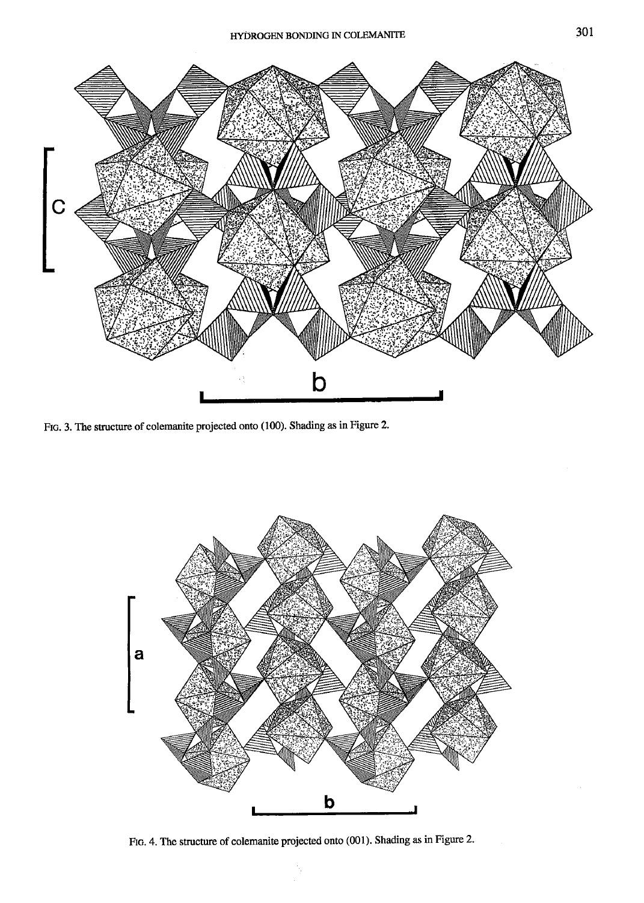

Ftc. 3. The structure of colemanite projected onto (100). Shading as in Figure 2.



FIG. 4. The structure of colemanite projected onto (001). Shading as in Figure 2.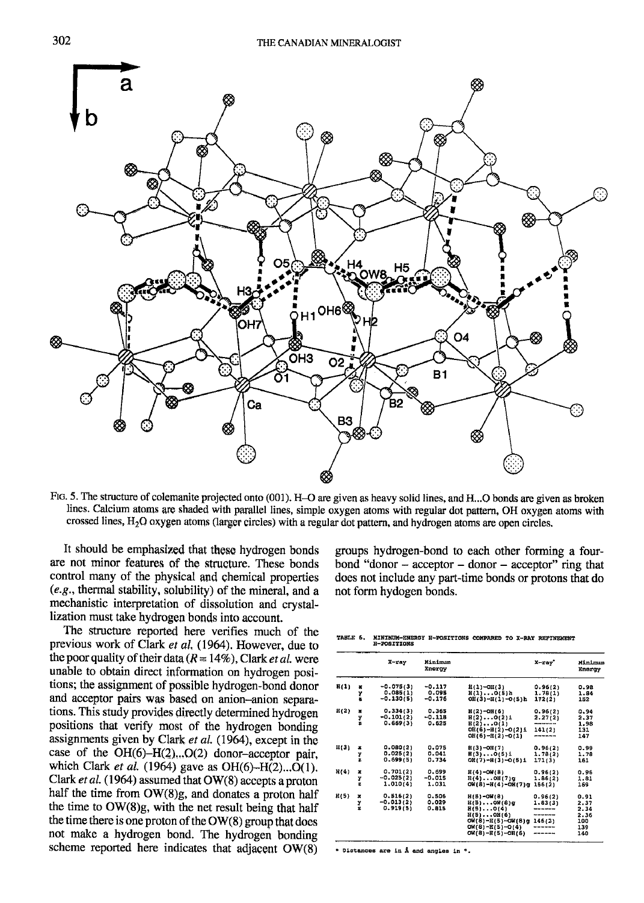

FIG. 5. The structure of colemanite projected onto (001). H-O are given as heavy solid lines, and H...O bonds are given as broken lines. Calcium atoms are shaded wlth parallel lines, simple oxygen atoms with regular dot pattern, oH oxygen atoms with crossed lines,  $H_2O$  oxygen atoms (larger circles) with a regular dot pattern, and hydrogen atoms are open circles.

It should be emphasized that these hydrogen bonds are not minor features of the structure. These bonds control many of the physical and chemical properties (e.9., thermal stability, solubility) of the mineral, and a mechanistic interpretation of dissolution and crystallization must take hydrogen bonds into account.

The structure reported here verifies much of the previous work of Clark *et al.* (1964). However, due to the poor quality of their data ( $R = 14\%$ ), Clark *et al.* were unable to obtain direct information on hydrogen positions; the assignment of possible hydrogen-bond donor and acceptor pairs was based on anion-anion separations. This study provides directly determined hydrogen positions that verify most of the hydrogen bonding assignments given by Clark et al.  $(1964)$ , except in the case of the  $OH(6)–H(2), O(2)$  donor-acceptor pair, which Clark *et al.* (1964) gave as  $OH(6) - H(2)...O(1)$ . Clark et al. (1964) assumed that OW(8) accepts a proton half the time from OW(8)g, and donates a proton half the time to OW(8)g, with the ner result being that half the time there is one proton of the OW(8) group that does not make a hydrogen bond. The hydrogen bonding scheme reported here indicates that adjaeent OW(8)

groups hydrogen-bond to each other forming a fourbond "donor  $-$  acceptor  $-$  donor  $-$  acceptor" ring that does not include any part-time bonds or protons that do not form hydogen bonds.

TABLE 6. MINIMUM-ENERGY H-POSITIONS COMPARED TO X-RAY REFILTIONS

|      |                     | X-ray                                  | Minimum<br>Energy             |                                                                                                                       | X-ray                                                                     | Minimum<br>Energy                                 |
|------|---------------------|----------------------------------------|-------------------------------|-----------------------------------------------------------------------------------------------------------------------|---------------------------------------------------------------------------|---------------------------------------------------|
| H(1) | $\blacksquare$<br>ĭ | $-0.075(3)$<br>0.085(1)<br>$-0.130(5)$ | $-0.117$<br>0.095<br>$-0.176$ | $H(1) - OH(3)$<br>$H(1),,O(5)$ h<br>$OH(3)-H(1)-O(5)h$                                                                | 0.96(2)<br>1.78(1)<br>172(2)                                              | 0.98<br>1.84<br>152                               |
| H(2) | ×<br>ĭ              | 0.334(3)<br>$-0.101(2)$<br>0.669(3)    | 0.365<br>$-0.118$<br>0.625    | $H(2) - OH(6)$<br>$H(2)O(2)$ i<br>H(2)O(1)<br>$OH(6)-H(2)-O(2)$ i<br>$OH(6)-H(2)-O(1)$                                | 0.96(2)<br>2.27(2)<br>--------<br>141(2)<br>------                        | 0.94<br>2.37<br>1.98<br>131<br>147                |
| H(3) | ×<br>ĭ              | 0.080(2)<br>0.025(2)<br>0.699(5)       | 0.075<br>0.041<br>0.734       | $E(3) - OH(7)$<br>$H(3)O(5)$ i<br>08(7)-8(3)-0(5)i                                                                    | 0.96(2)<br>1.78(2)<br>171(3)                                              | 0.99<br>1.78<br>161                               |
| H(4) | ×<br>ï              | 0.701(2)<br>$-0.025(2)$<br>1.010(4)    | 0.699<br>$-0.015$<br>1.031    | $H(4) - OH(8)$<br>$H(4) \ldots QH(7)$ g<br>OW(8)-H(4)-OH(7)q                                                          | 0.96(2)<br>1.86(2)<br>156(2)                                              | 0.96<br>1.81<br>169                               |
| H(5) | ×<br>Y<br>ż         | 0.516(2)<br>$-0.013(2)$<br>0.919(5)    | 0.506<br>0.029<br>0.815       | $H(5) - OH(8)$<br>E(5)OW(8)q<br>E(5)O(4)<br>H(5)OH(6)<br>OW(8)-H(5)-OW(8)q<br>$OW(8)-H(5)-O(4)$<br>$OW(8)-H(5)-OH(6)$ | 0.96(2)<br>1.83(3)<br>------<br>----------<br>146(2)<br>------<br>------- | 0.91<br>2.37<br>2.34<br>2.36<br>100<br>139<br>140 |

\* Distances are in Å and angles in °.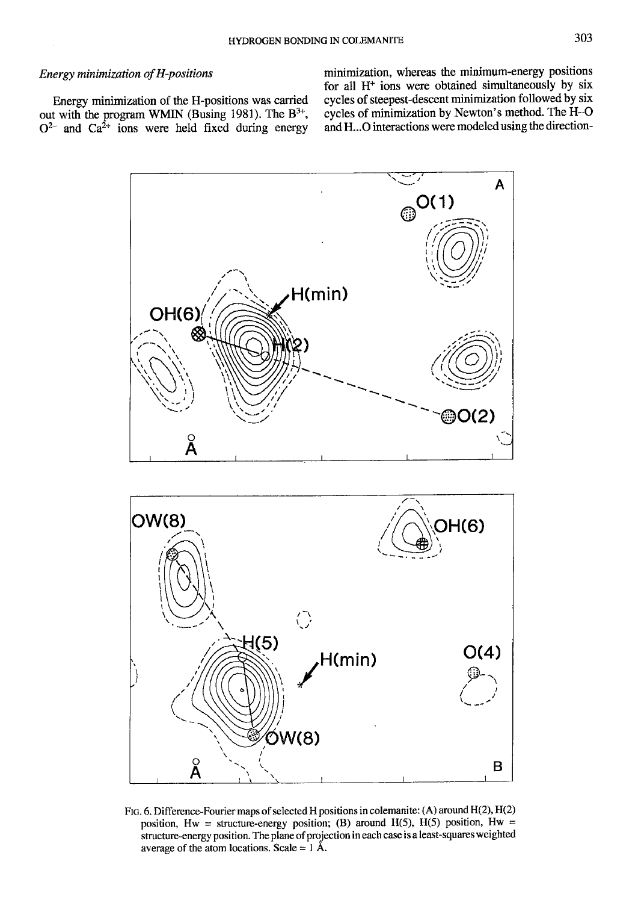## Energy minimization of H-positions

Energy minimization of the H-positions was canied out with the program WMIN (Busing 1981). The  $B^{3+}$ ,  $O^{2-}$  and  $Ca^{2+}$  ions were held fixed during energy minimization, whereas the minimum-energy positions for all  $H^+$  ions were obtained simultaneously by six cycles of steepest-descent minimization followed by six cycles of minimization by Newton's method. The H-O and H...O interactions were modeled using the direction-



FIG. 6. Difference-Fourier maps of selected H positions in colemanite: (A) around H(2), H(2) position, Hw = structure-energy position; (B) around H(5), H(5) position, Hw = structure-energy position. The plane of projection in each case is a least-squares weighted average of the atom locations. Scale =  $1 \text{ Å}$ .